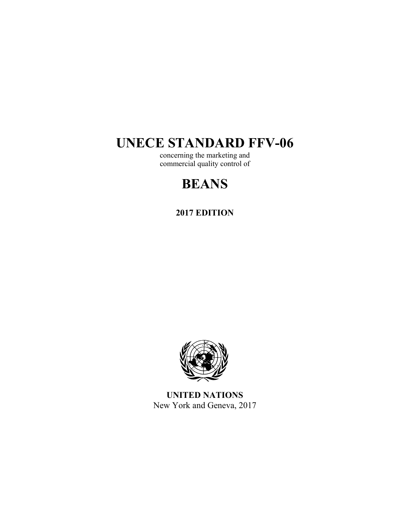## **UNECE STANDARD FFV-06**

concerning the marketing and commercial quality control of

# **BEANS**

**2017 EDITION** 



**UNITED NATIONS**  New York and Geneva, 2017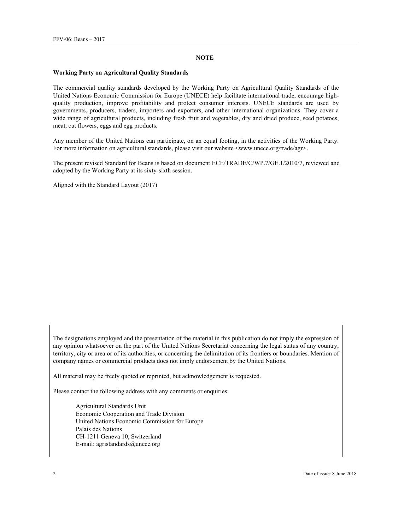#### **NOTE**

#### **Working Party on Agricultural Quality Standards**

The commercial quality standards developed by the Working Party on Agricultural Quality Standards of the United Nations Economic Commission for Europe (UNECE) help facilitate international trade, encourage highquality production, improve profitability and protect consumer interests. UNECE standards are used by governments, producers, traders, importers and exporters, and other international organizations. They cover a wide range of agricultural products, including fresh fruit and vegetables, dry and dried produce, seed potatoes, meat, cut flowers, eggs and egg products.

Any member of the United Nations can participate, on an equal footing, in the activities of the Working Party. For more information on agricultural standards, please visit our website <www.unece.org/trade/agr>.

The present revised Standard for Beans is based on document ECE/TRADE/C/WP.7/GE.1/2010/7, reviewed and adopted by the Working Party at its sixty-sixth session.

Aligned with the Standard Layout (2017)

The designations employed and the presentation of the material in this publication do not imply the expression of any opinion whatsoever on the part of the United Nations Secretariat concerning the legal status of any country, territory, city or area or of its authorities, or concerning the delimitation of its frontiers or boundaries. Mention of company names or commercial products does not imply endorsement by the United Nations.

All material may be freely quoted or reprinted, but acknowledgement is requested.

Please contact the following address with any comments or enquiries:

Agricultural Standards Unit Economic Cooperation and Trade Division United Nations Economic Commission for Europe Palais des Nations CH-1211 Geneva 10, Switzerland E-mail: agristandards@unece.org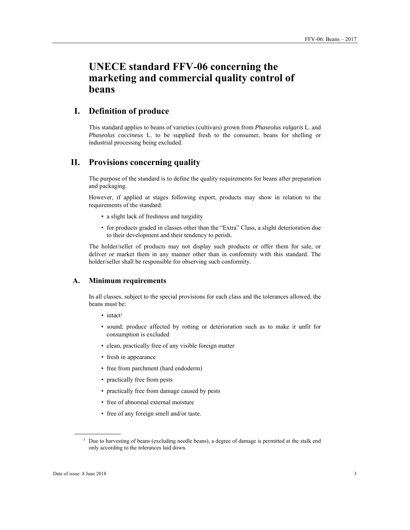## **UNECE standard FFV-06 concerning the marketing and commercial quality control of beans**

## **I. Definition of produce**

This standard applies to beans of varieties (cultivars) grown from *Phaseolus vulgaris* L. and *Phaseolus coccineus* L. to be supplied fresh to the consumer, beans for shelling or industrial processing being excluded.

## **II. Provisions concerning quality**

The purpose of the standard is to define the quality requirements for beans after preparation and packaging.

However, if applied at stages following export, products may show in relation to the requirements of the standard:

- a slight lack of freshness and turgidity
- for products graded in classes other than the "Extra" Class, a slight deterioration due to their development and their tendency to perish.

The holder/seller of products may not display such products or offer them for sale, or deliver or market them in any manner other than in conformity with this standard. The holder/seller shall be responsible for observing such conformity.

#### **A. Minimum requirements**

In all classes, subject to the special provisions for each class and the tolerances allowed, the beans must be:

- intact<sup>1</sup>
- sound; produce affected by rotting or deterioration such as to make it unfit for consumption is excluded
- clean, practically free of any visible foreign matter
- fresh in appearance
- free from parchment (hard endoderm)
- practically free from pests
- practically free from damage caused by pests
- free of abnormal external moisture
- free of any foreign smell and/or taste.

 $\overline{a}$ 

<sup>&</sup>lt;sup>1</sup> Due to harvesting of beans (excluding needle beans), a degree of damage is permitted at the stalk end only according to the tolerances laid down.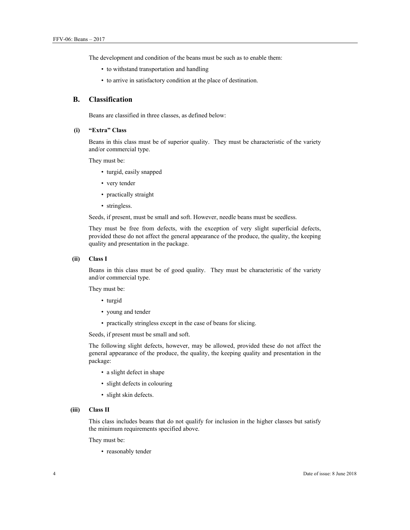The development and condition of the beans must be such as to enable them:

- to withstand transportation and handling
- to arrive in satisfactory condition at the place of destination.

#### **B. Classification**

Beans are classified in three classes, as defined below:

#### **(i) "Extra" Class**

Beans in this class must be of superior quality. They must be characteristic of the variety and/or commercial type.

They must be:

- turgid, easily snapped
- very tender
- practically straight
- stringless.

Seeds, if present, must be small and soft. However, needle beans must be seedless.

They must be free from defects, with the exception of very slight superficial defects, provided these do not affect the general appearance of the produce, the quality, the keeping quality and presentation in the package.

#### **(ii) Class I**

Beans in this class must be of good quality. They must be characteristic of the variety and/or commercial type.

They must be:

- turgid
- young and tender
- practically stringless except in the case of beans for slicing.

Seeds, if present must be small and soft.

The following slight defects, however, may be allowed, provided these do not affect the general appearance of the produce, the quality, the keeping quality and presentation in the package:

- a slight defect in shape
- slight defects in colouring
- slight skin defects.

#### **(iii) Class II**

This class includes beans that do not qualify for inclusion in the higher classes but satisfy the minimum requirements specified above.

They must be:

• reasonably tender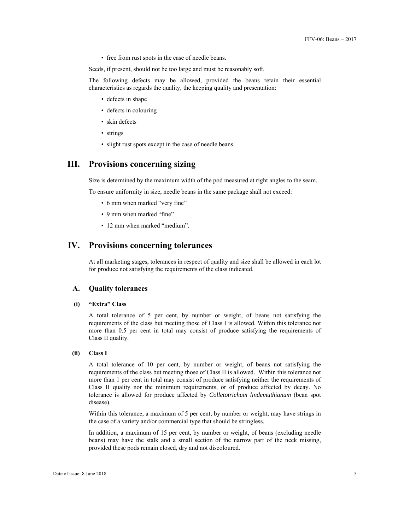• free from rust spots in the case of needle beans.

Seeds, if present, should not be too large and must be reasonably soft.

The following defects may be allowed, provided the beans retain their essential characteristics as regards the quality, the keeping quality and presentation:

- defects in shape
- defects in colouring
- skin defects
- strings
- slight rust spots except in the case of needle beans.

### **III. Provisions concerning sizing**

Size is determined by the maximum width of the pod measured at right angles to the seam.

To ensure uniformity in size, needle beans in the same package shall not exceed:

- 6 mm when marked "very fine"
- 9 mm when marked "fine"
- 12 mm when marked "medium".

### **IV. Provisions concerning tolerances**

At all marketing stages, tolerances in respect of quality and size shall be allowed in each lot for produce not satisfying the requirements of the class indicated.

#### **A. Quality tolerances**

#### **(i) "Extra" Class**

A total tolerance of 5 per cent, by number or weight, of beans not satisfying the requirements of the class but meeting those of Class I is allowed. Within this tolerance not more than 0.5 per cent in total may consist of produce satisfying the requirements of Class II quality.

#### **(ii) Class I**

A total tolerance of 10 per cent, by number or weight, of beans not satisfying the requirements of the class but meeting those of Class II is allowed. Within this tolerance not more than 1 per cent in total may consist of produce satisfying neither the requirements of Class II quality nor the minimum requirements, or of produce affected by decay. No tolerance is allowed for produce affected by *Colletotrichum lindemuthianum* (bean spot disease).

Within this tolerance, a maximum of 5 per cent, by number or weight, may have strings in the case of a variety and/or commercial type that should be stringless.

In addition, a maximum of 15 per cent, by number or weight, of beans (excluding needle beans) may have the stalk and a small section of the narrow part of the neck missing, provided these pods remain closed, dry and not discoloured.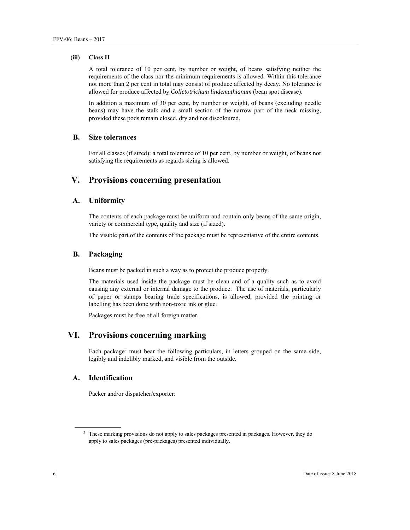#### **(iii) Class II**

A total tolerance of 10 per cent, by number or weight, of beans satisfying neither the requirements of the class nor the minimum requirements is allowed. Within this tolerance not more than 2 per cent in total may consist of produce affected by decay. No tolerance is allowed for produce affected by *Colletotrichum lindemuthianum* (bean spot disease).

In addition a maximum of 30 per cent, by number or weight, of beans (excluding needle beans) may have the stalk and a small section of the narrow part of the neck missing, provided these pods remain closed, dry and not discoloured.

#### **B. Size tolerances**

For all classes (if sized): a total tolerance of 10 per cent, by number or weight, of beans not satisfying the requirements as regards sizing is allowed.

## **V. Provisions concerning presentation**

#### **A. Uniformity**

The contents of each package must be uniform and contain only beans of the same origin, variety or commercial type, quality and size (if sized).

The visible part of the contents of the package must be representative of the entire contents.

#### **B. Packaging**

Beans must be packed in such a way as to protect the produce properly.

The materials used inside the package must be clean and of a quality such as to avoid causing any external or internal damage to the produce. The use of materials, particularly of paper or stamps bearing trade specifications, is allowed, provided the printing or labelling has been done with non-toxic ink or glue.

Packages must be free of all foreign matter.

## **VI. Provisions concerning marking**

Each package2 must bear the following particulars, in letters grouped on the same side, legibly and indelibly marked, and visible from the outside.

#### **A. Identification**

Packer and/or dispatcher/exporter:

 $\overline{a}$ 

<sup>&</sup>lt;sup>2</sup> These marking provisions do not apply to sales packages presented in packages. However, they do apply to sales packages (pre-packages) presented individually.